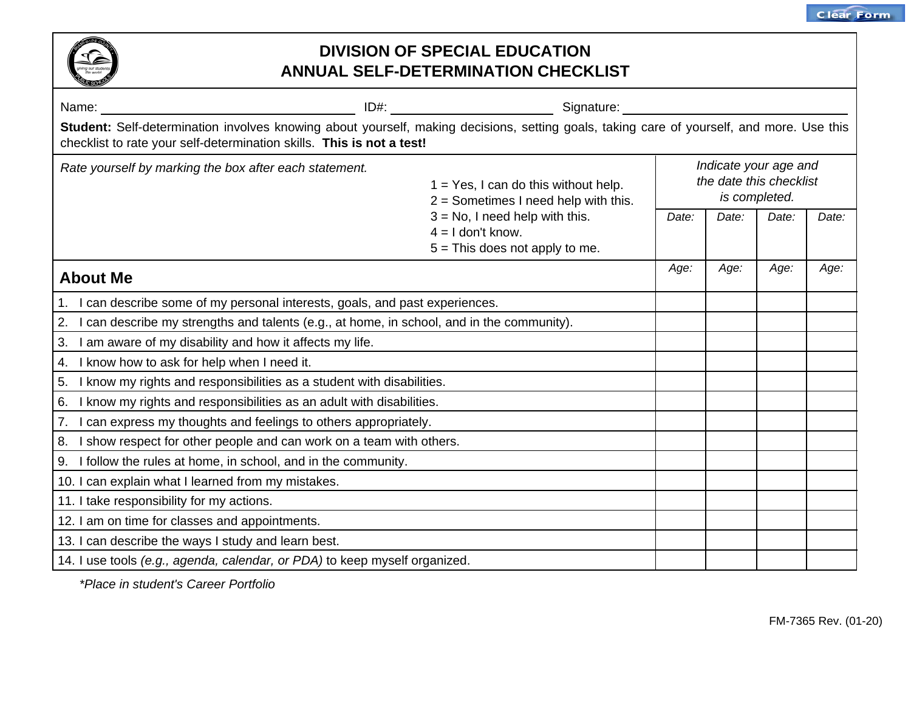

## **DIVISION OF SPECIAL EDUCATION ANNUAL SELF-DETERMINATION CHECKLIST**

| Name:                                                                                                                                                                                                              |                                                                       | Signature:                                                                        |                                                                   |       |       |      |  |  |
|--------------------------------------------------------------------------------------------------------------------------------------------------------------------------------------------------------------------|-----------------------------------------------------------------------|-----------------------------------------------------------------------------------|-------------------------------------------------------------------|-------|-------|------|--|--|
| Student: Self-determination involves knowing about yourself, making decisions, setting goals, taking care of yourself, and more. Use this<br>checklist to rate your self-determination skills. This is not a test! |                                                                       |                                                                                   |                                                                   |       |       |      |  |  |
| Rate yourself by marking the box after each statement.<br>$4 = 1$ don't know.                                                                                                                                      |                                                                       | $1 = Yes$ , I can do this without help.<br>$2 =$ Sometimes I need help with this. | Indicate your age and<br>the date this checklist<br>is completed. |       |       |      |  |  |
|                                                                                                                                                                                                                    | $3 = No$ , I need help with this.<br>$5 =$ This does not apply to me. | Date:                                                                             | Date:                                                             | Date: | Date: |      |  |  |
| <b>About Me</b>                                                                                                                                                                                                    |                                                                       |                                                                                   | Age:                                                              | Age:  | Age:  | Age: |  |  |
| 1. I can describe some of my personal interests, goals, and past experiences.                                                                                                                                      |                                                                       |                                                                                   |                                                                   |       |       |      |  |  |
| 2. I can describe my strengths and talents (e.g., at home, in school, and in the community).                                                                                                                       |                                                                       |                                                                                   |                                                                   |       |       |      |  |  |
| 3. I am aware of my disability and how it affects my life.                                                                                                                                                         |                                                                       |                                                                                   |                                                                   |       |       |      |  |  |
| 4. I know how to ask for help when I need it.                                                                                                                                                                      |                                                                       |                                                                                   |                                                                   |       |       |      |  |  |
| 5. I know my rights and responsibilities as a student with disabilities.                                                                                                                                           |                                                                       |                                                                                   |                                                                   |       |       |      |  |  |
| 6. I know my rights and responsibilities as an adult with disabilities.                                                                                                                                            |                                                                       |                                                                                   |                                                                   |       |       |      |  |  |
| 7. I can express my thoughts and feelings to others appropriately.                                                                                                                                                 |                                                                       |                                                                                   |                                                                   |       |       |      |  |  |
| 8. I show respect for other people and can work on a team with others.                                                                                                                                             |                                                                       |                                                                                   |                                                                   |       |       |      |  |  |
| 9. I follow the rules at home, in school, and in the community.                                                                                                                                                    |                                                                       |                                                                                   |                                                                   |       |       |      |  |  |
| 10. I can explain what I learned from my mistakes.                                                                                                                                                                 |                                                                       |                                                                                   |                                                                   |       |       |      |  |  |
| 11. I take responsibility for my actions.                                                                                                                                                                          |                                                                       |                                                                                   |                                                                   |       |       |      |  |  |
| 12. I am on time for classes and appointments.                                                                                                                                                                     |                                                                       |                                                                                   |                                                                   |       |       |      |  |  |
| 13. I can describe the ways I study and learn best.                                                                                                                                                                |                                                                       |                                                                                   |                                                                   |       |       |      |  |  |
| 14. I use tools (e.g., agenda, calendar, or PDA) to keep myself organized.                                                                                                                                         |                                                                       |                                                                                   |                                                                   |       |       |      |  |  |

*\*Place in student's Career Portfolio*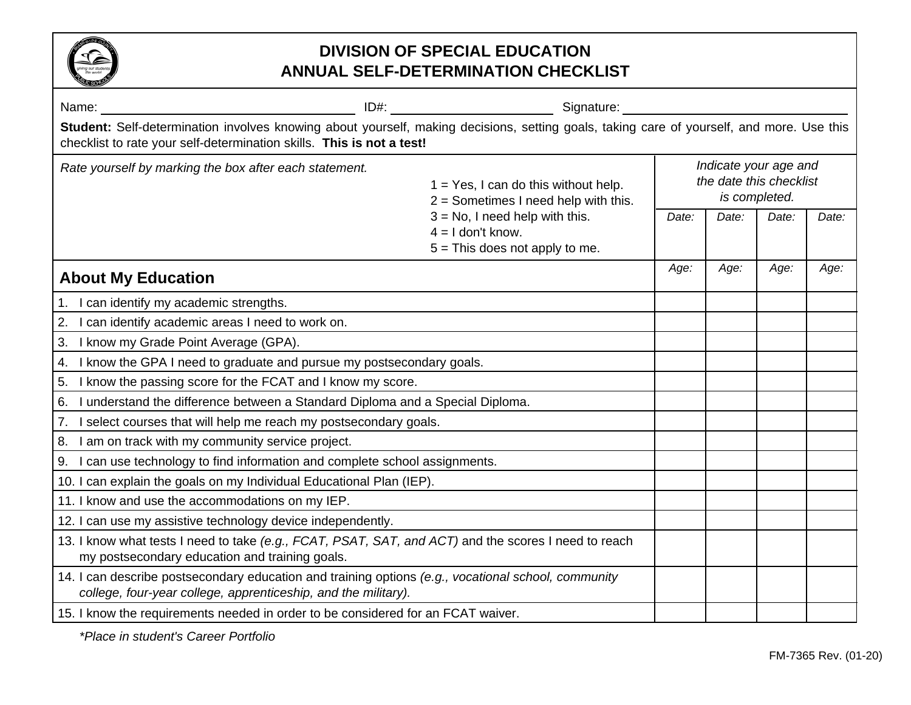

## **DIVISION OF SPECIAL EDUCATION ANNUAL SELF-DETERMINATION CHECKLIST**

|                                                                                                                                                                                                                    | ID#: Signature: Signature:                                                                   |                                                                   |       |       |       |  |
|--------------------------------------------------------------------------------------------------------------------------------------------------------------------------------------------------------------------|----------------------------------------------------------------------------------------------|-------------------------------------------------------------------|-------|-------|-------|--|
| Student: Self-determination involves knowing about yourself, making decisions, setting goals, taking care of yourself, and more. Use this<br>checklist to rate your self-determination skills. This is not a test! |                                                                                              |                                                                   |       |       |       |  |
| Rate yourself by marking the box after each statement.                                                                                                                                                             | $1 = Yes$ , I can do this without help.<br>$2 =$ Sometimes I need help with this.            | Indicate your age and<br>the date this checklist<br>is completed. |       |       |       |  |
|                                                                                                                                                                                                                    | $3 = No$ , I need help with this.<br>$4 = 1$ don't know.<br>$5 =$ This does not apply to me. | Date:                                                             | Date: | Date: | Date: |  |
| <b>About My Education</b>                                                                                                                                                                                          |                                                                                              | Age:                                                              | Age:  | Age:  | Age:  |  |
| 1. I can identify my academic strengths.                                                                                                                                                                           |                                                                                              |                                                                   |       |       |       |  |
| I can identify academic areas I need to work on.<br>2.                                                                                                                                                             |                                                                                              |                                                                   |       |       |       |  |
| 3. I know my Grade Point Average (GPA).                                                                                                                                                                            |                                                                                              |                                                                   |       |       |       |  |
| 4. I know the GPA I need to graduate and pursue my postsecondary goals.                                                                                                                                            |                                                                                              |                                                                   |       |       |       |  |
| I know the passing score for the FCAT and I know my score.<br>5.                                                                                                                                                   |                                                                                              |                                                                   |       |       |       |  |
| I understand the difference between a Standard Diploma and a Special Diploma.<br>6.                                                                                                                                |                                                                                              |                                                                   |       |       |       |  |
| 7. I select courses that will help me reach my postsecondary goals.                                                                                                                                                |                                                                                              |                                                                   |       |       |       |  |
| 8. I am on track with my community service project.                                                                                                                                                                |                                                                                              |                                                                   |       |       |       |  |
| 9. I can use technology to find information and complete school assignments.                                                                                                                                       |                                                                                              |                                                                   |       |       |       |  |
| 10. I can explain the goals on my Individual Educational Plan (IEP).                                                                                                                                               |                                                                                              |                                                                   |       |       |       |  |
| 11. I know and use the accommodations on my IEP.                                                                                                                                                                   |                                                                                              |                                                                   |       |       |       |  |
| 12. I can use my assistive technology device independently.                                                                                                                                                        |                                                                                              |                                                                   |       |       |       |  |
| 13. I know what tests I need to take (e.g., FCAT, PSAT, SAT, and ACT) and the scores I need to reach<br>my postsecondary education and training goals.                                                             |                                                                                              |                                                                   |       |       |       |  |
| 14. I can describe postsecondary education and training options (e.g., vocational school, community<br>college, four-year college, apprenticeship, and the military).                                              |                                                                                              |                                                                   |       |       |       |  |
| 15. I know the requirements needed in order to be considered for an FCAT waiver.                                                                                                                                   |                                                                                              |                                                                   |       |       |       |  |

*\*Place in student's Career Portfolio*